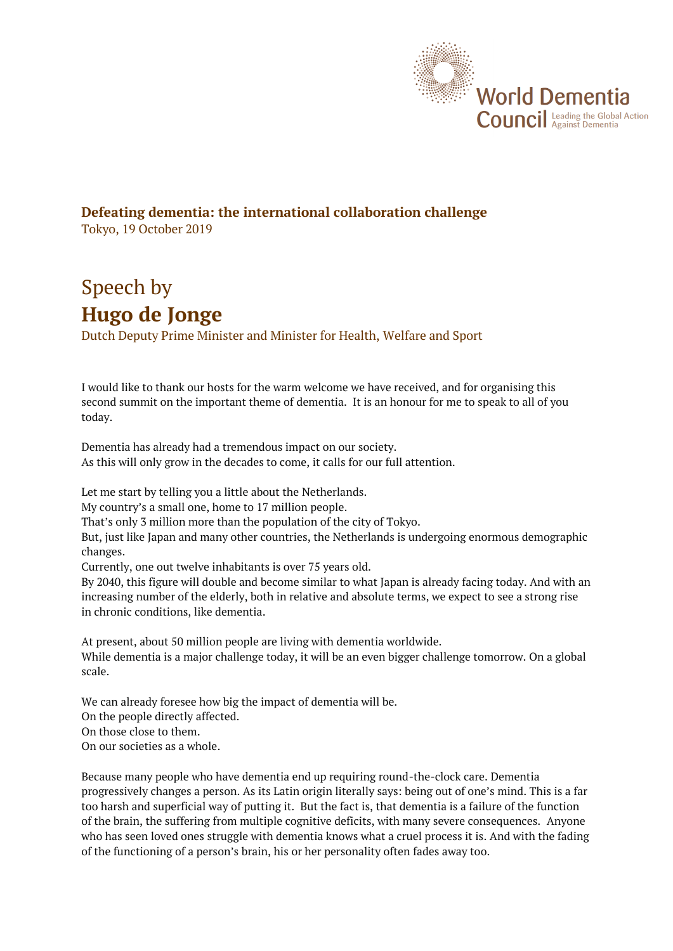

## **Defeating dementia: the international collaboration challenge** Tokyo, 19 October 2019

## Speech by **Hugo de Jonge**

Dutch Deputy Prime Minister and Minister for Health, Welfare and Sport

I would like to thank our hosts for the warm welcome we have received, and for organising this second summit on the important theme of dementia. It is an honour for me to speak to all of you today.

Dementia has already had a tremendous impact on our society. As this will only grow in the decades to come, it calls for our full attention.

Let me start by telling you a little about the Netherlands.

My country's a small one, home to 17 million people.

That's only 3 million more than the population of the city of Tokyo.

But, just like Japan and many other countries, the Netherlands is undergoing enormous demographic changes.

Currently, one out twelve inhabitants is over 75 years old.

By 2040, this figure will double and become similar to what Japan is already facing today. And with an increasing number of the elderly, both in relative and absolute terms, we expect to see a strong rise in chronic conditions, like dementia.

At present, about 50 million people are living with dementia worldwide. While dementia is a major challenge today, it will be an even bigger challenge tomorrow. On a global scale.

We can already foresee how big the impact of dementia will be. On the people directly affected. On those close to them. On our societies as a whole.

Because many people who have dementia end up requiring round-the-clock care. Dementia progressively changes a person. As its Latin origin literally says: being out of one's mind. This is a far too harsh and superficial way of putting it. But the fact is, that dementia is a failure of the function of the brain, the suffering from multiple cognitive deficits, with many severe consequences. Anyone who has seen loved ones struggle with dementia knows what a cruel process it is. And with the fading of the functioning of a person's brain, his or her personality often fades away too.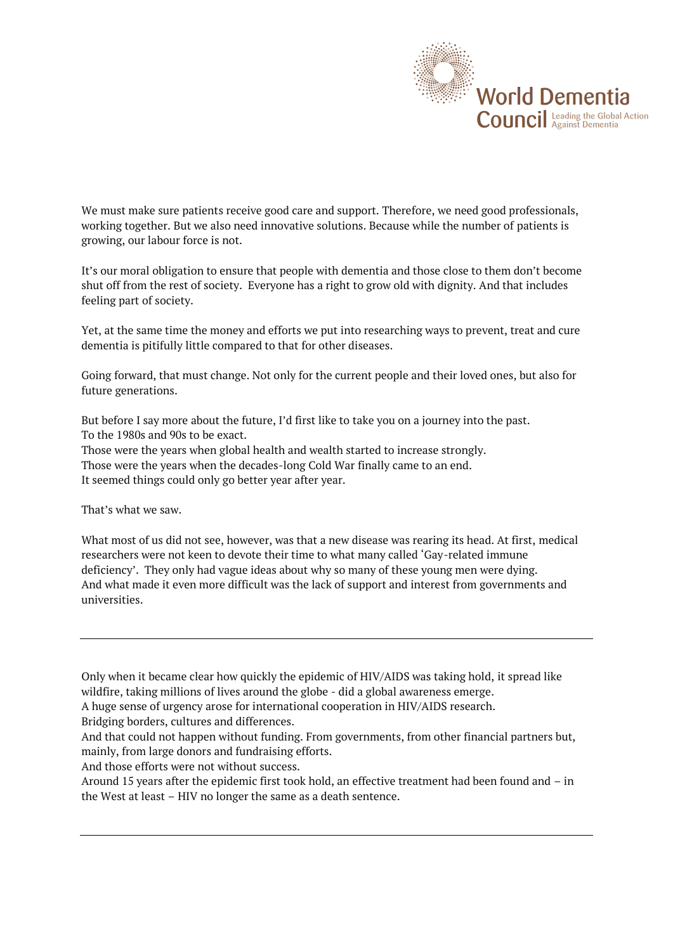

We must make sure patients receive good care and support. Therefore, we need good professionals, working together. But we also need innovative solutions. Because while the number of patients is growing, our labour force is not.

It's our moral obligation to ensure that people with dementia and those close to them don't become shut off from the rest of society. Everyone has a right to grow old with dignity. And that includes feeling part of society.

Yet, at the same time the money and efforts we put into researching ways to prevent, treat and cure dementia is pitifully little compared to that for other diseases.

Going forward, that must change. Not only for the current people and their loved ones, but also for future generations.

But before I say more about the future, I'd first like to take you on a journey into the past. To the 1980s and 90s to be exact. Those were the years when global health and wealth started to increase strongly. Those were the years when the decades-long Cold War finally came to an end. It seemed things could only go better year after year.

That's what we saw.

What most of us did not see, however, was that a new disease was rearing its head. At first, medical researchers were not keen to devote their time to what many called 'Gay-related immune deficiency'. They only had vague ideas about why so many of these young men were dying. And what made it even more difficult was the lack of support and interest from governments and universities.

Only when it became clear how quickly the epidemic of HIV/AIDS was taking hold, it spread like wildfire, taking millions of lives around the globe - did a global awareness emerge.

A huge sense of urgency arose for international cooperation in HIV/AIDS research.

Bridging borders, cultures and differences.

And that could not happen without funding. From governments, from other financial partners but, mainly, from large donors and fundraising efforts.

And those efforts were not without success.

Around 15 years after the epidemic first took hold, an effective treatment had been found and – in the West at least – HIV no longer the same as a death sentence.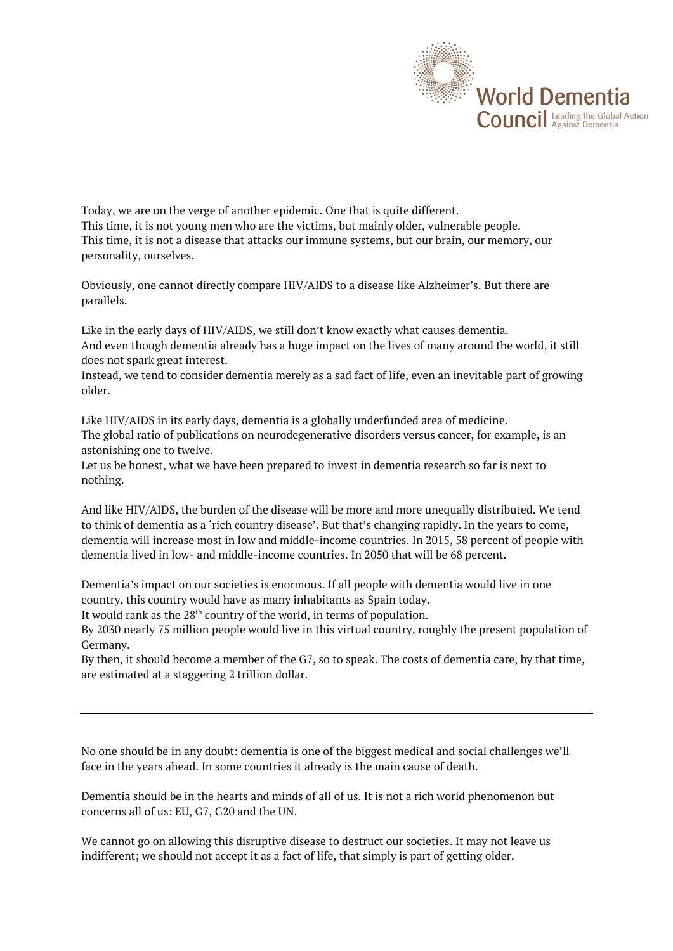

Today, we are on the verge of another epidemic. One that is quite different. This time, it is not young men who are the victims, but mainly older, vulnerable people. This time, it is not a disease that attacks our immune systems, but our brain, our memory, our personality, ourselves.

Obviously, one cannot directly compare HIV/AIDS to a disease like Alzheimer's. But there are parallels.

Like in the early days of HIV/AIDS, we still don't know exactly what causes dementia. And even though dementia already has a huge impact on the lives of many around the world, it still does not spark great interest.

Instead, we tend to consider dementia merely as a sad fact of life, even an inevitable part of growing older.

Like HIV/AIDS in its early days, dementia is a globally underfunded area of medicine. The global ratio of publications on neurodegenerative disorders versus cancer, for example, is an astonishing one to twelve.

Let us be honest, what we have been prepared to invest in dementia research so far is next to nothing.

And like HIV/AIDS, the burden of the disease will be more and more unequally distributed. We tend to think of dementia as a 'rich country disease'. But that's changing rapidly. In the years to come, dementia will increase most in low and middle-income countries. In 2015, 58 percent of people with dementia lived in low- and middle-income countries. In 2050 that will be 68 percent.

Dementia's impact on our societies is enormous. If all people with dementia would live in one country, this country would have as many inhabitants as Spain today.

It would rank as the 28<sup>th</sup> country of the world, in terms of population.

By 2030 nearly 75 million people would live in this virtual country, roughly the present population of Germany.

By then, it should become a member of the G7, so to speak. The costs of dementia care, by that time, are estimated at a staggering 2 trillion dollar.

No one should be in any doubt: dementia is one of the biggest medical and social challenges we'll face in the years ahead. In some countries it already is the main cause of death.

Dementia should be in the hearts and minds of all of us. It is not a rich world phenomenon but concerns all of us: EU, G7, G20 and the UN.

We cannot go on allowing this disruptive disease to destruct our societies. It may not leave us indifferent; we should not accept it as a fact of life, that simply is part of getting older.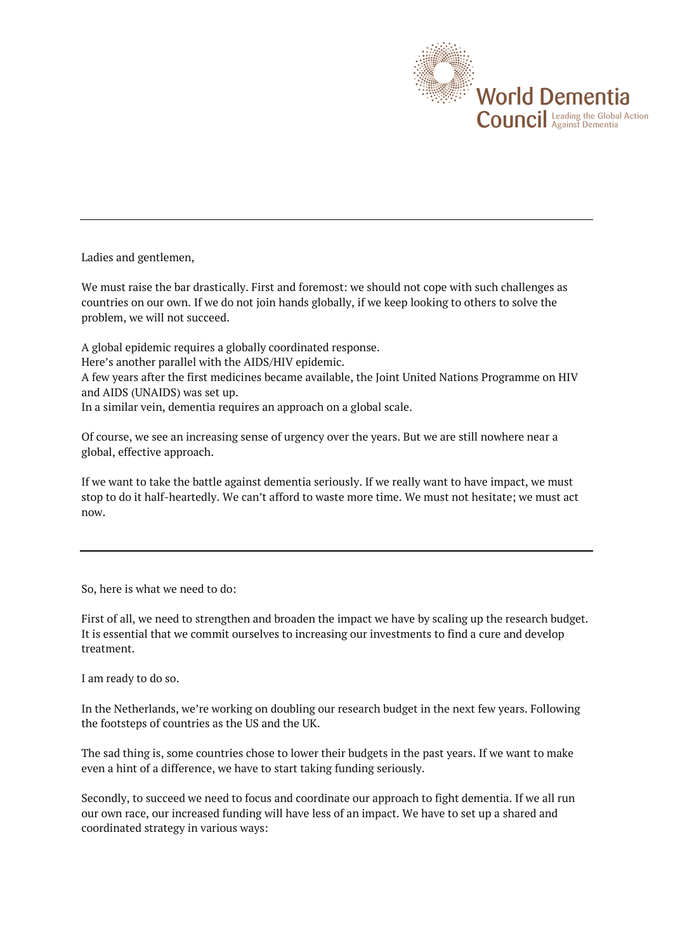

Ladies and gentlemen,

We must raise the bar drastically. First and foremost: we should not cope with such challenges as countries on our own. If we do not join hands globally, if we keep looking to others to solve the problem, we will not succeed.

A global epidemic requires a globally coordinated response.

Here's another parallel with the AIDS/HIV epidemic.

A few years after the first medicines became available, the Joint United Nations Programme on HIV and AIDS (UNAIDS) was set up.

In a similar vein, dementia requires an approach on a global scale.

Of course, we see an increasing sense of urgency over the years. But we are still nowhere near a global, effective approach.

If we want to take the battle against dementia seriously. If we really want to have impact, we must stop to do it half-heartedly. We can't afford to waste more time. We must not hesitate; we must act now.

So, here is what we need to do:

First of all, we need to strengthen and broaden the impact we have by scaling up the research budget. It is essential that we commit ourselves to increasing our investments to find a cure and develop treatment.

I am ready to do so.

In the Netherlands, we're working on doubling our research budget in the next few years. Following the footsteps of countries as the US and the UK.

The sad thing is, some countries chose to lower their budgets in the past years. If we want to make even a hint of a difference, we have to start taking funding seriously.

Secondly, to succeed we need to focus and coordinate our approach to fight dementia. If we all run our own race, our increased funding will have less of an impact. We have to set up a shared and coordinated strategy in various ways: